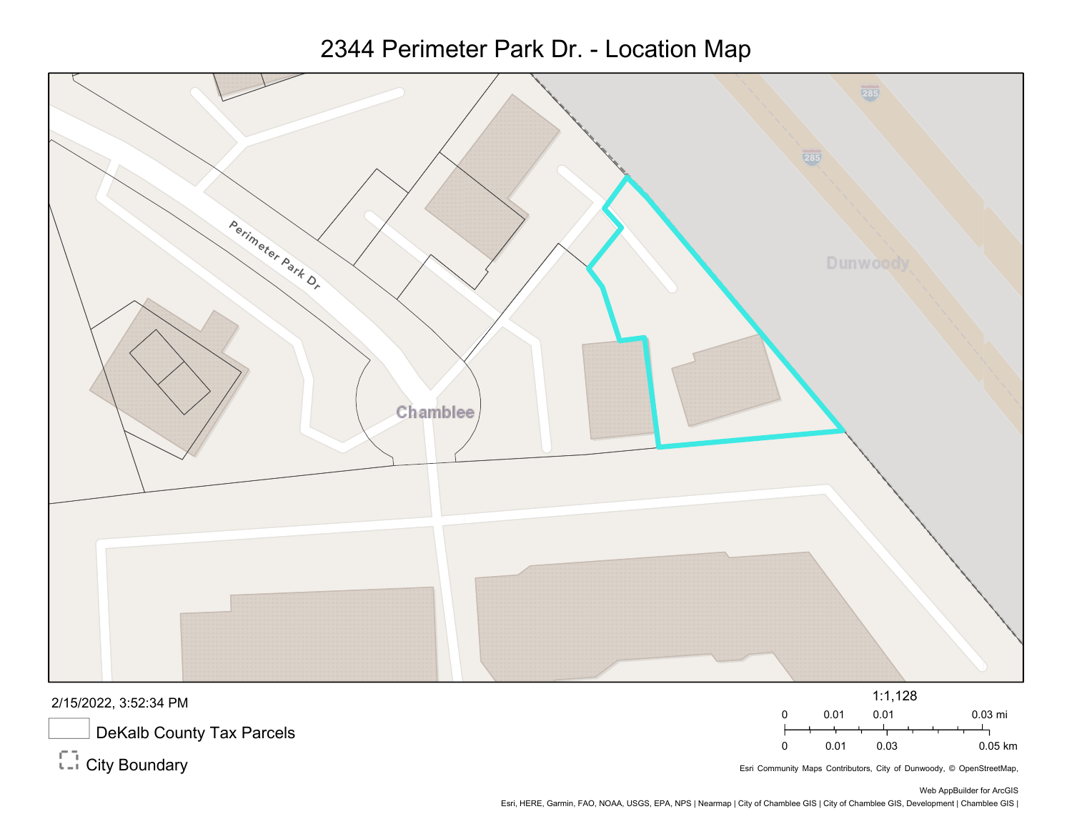## 2344 Perimeter Park Dr. - Location Map



2/15/2022, 3:52:34 PM

DeKalb County Tax Parcels

 $\overline{\mathbb{C}}$ <sup>-</sup> City Boundary

Esri Community Maps Contributors, City of Dunwoody, © OpenStreetMap,

0 0.01 0.01 0.03 mi

0 0.01 0.03 0.05 km

Esri, HERE, Garmin, FAO, NOAA, USGS, EPA, NPS | Nearmap | City of Chamblee GIS | City of Chamblee GIS, Development | Chamblee GIS |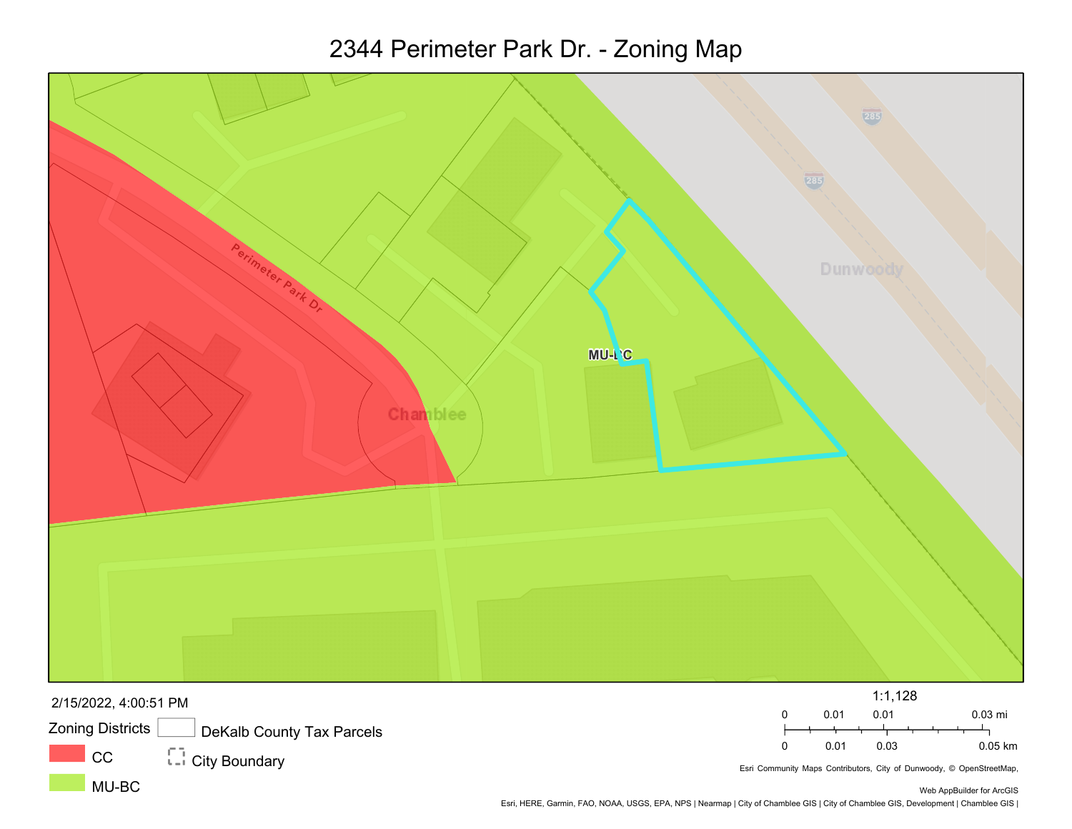## 2344 Perimeter Park Dr. - Zoning Map